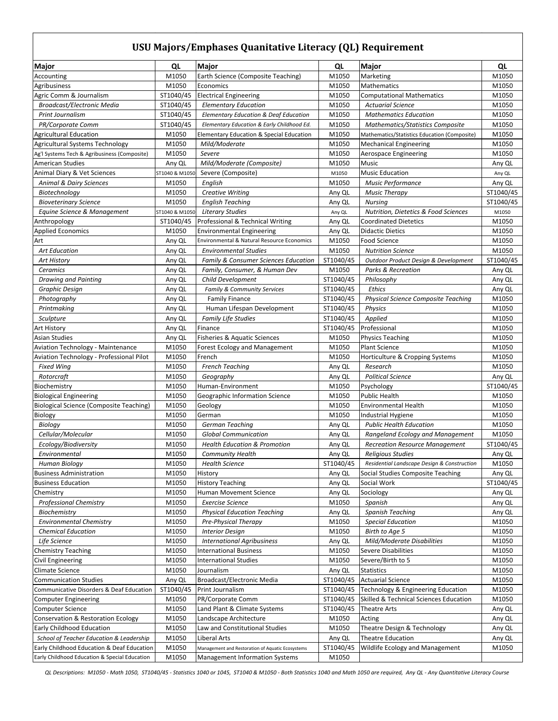## **USU Majors/Emphases Quanitative Literacy (QL) Requirement**

| Major                                                         | QL              | Major                                               | QL             | <b>Major</b>                                      | QL             |
|---------------------------------------------------------------|-----------------|-----------------------------------------------------|----------------|---------------------------------------------------|----------------|
| Accounting                                                    | M1050           | Earth Science (Composite Teaching)                  | M1050          | Marketing                                         | M1050          |
| Agribusiness                                                  | M1050           | Economics                                           | M1050          | Mathematics                                       | M1050          |
| Agric Comm & Journalism                                       | ST1040/45       | <b>Electrical Engineering</b>                       | M1050          | <b>Computational Mathematics</b>                  | M1050          |
| <b>Broadcast/Electronic Media</b>                             | ST1040/45       | <b>Elementary Education</b>                         | M1050          | <b>Actuarial Science</b>                          | M1050          |
| <b>Print Journalism</b>                                       | ST1040/45       | <b>Elementary Education &amp; Deaf Education</b>    | M1050          | <b>Mathematics Education</b>                      | M1050          |
| PR/Corporate Comm                                             | ST1040/45       | Elementary Education & Early Childhood Ed.          | M1050          | <b>Mathematics/Statistics Composite</b>           | M1050          |
| <b>Agricultural Education</b>                                 | M1050           | <b>Elementary Education &amp; Special Education</b> | M1050          | Mathematics/Statistics Education (Composite)      | M1050          |
| Agricultural Systems Technology                               | M1050           | Mild/Moderate                                       | M1050          | <b>Mechanical Engineering</b>                     | M1050          |
| Ag'l Systems Tech & Agribusiness (Composite)                  | M1050           | Severe                                              | M1050          | Aerospace Engineering                             | M1050          |
| <b>American Studies</b>                                       | Any QL          | Mild/Moderate (Composite)                           | M1050          | Music                                             | Any QL         |
| Animal Diary & Vet Sciences                                   | ST1040 & M1050  | Severe (Composite)                                  | M1050          | <b>Music Education</b>                            | Any QL         |
| <b>Animal &amp; Dairy Sciences</b>                            | M1050           | English                                             | M1050          | <b>Music Performance</b>                          | Any QL         |
| Biotechnology                                                 | M1050           | <b>Creative Writing</b>                             | Any QL         | <b>Music Therapy</b>                              | ST1040/45      |
| <b>Bioveterinary Science</b>                                  | M1050           | <b>English Teaching</b>                             | Any QL         | <b>Nursing</b>                                    | ST1040/45      |
| Equine Science & Management                                   | ST1040 & M1050  | <b>Literary Studies</b>                             | Any QL         | <b>Nutrition, Dietetics &amp; Food Sciences</b>   | M1050          |
| Anthropology                                                  | ST1040/45       | Professional & Technical Writing                    | Any QL         | <b>Coordinated Dietetics</b>                      | M1050          |
| <b>Applied Economics</b>                                      | M1050           | <b>Environmental Engineering</b>                    | Any QL         | <b>Didactic Dietics</b>                           | M1050          |
| Art                                                           | Any QL          | Environmental & Natural Resource Economics          | M1050          | <b>Food Science</b>                               | M1050          |
| <b>Art Education</b>                                          | Any QL          | <b>Environmental Studies</b>                        | M1050          | <b>Nutrition Science</b>                          | M1050          |
| <b>Art History</b>                                            | Any QL          | <b>Family &amp; Consumer Sciences Education</b>     | ST1040/45      | Outdoor Product Design & Development              | ST1040/45      |
| Ceramics                                                      | Any QL          | Family, Consumer, & Human Dev                       | M1050          | <b>Parks &amp; Recreation</b>                     | Any QL         |
| <b>Drawing and Painting</b>                                   | Any QL          | Child Development                                   | ST1040/45      | Philosophy                                        | Any QL         |
| Graphic Design                                                | Any QL          | <b>Family &amp; Community Services</b>              | ST1040/45      | Ethics                                            | Any QL         |
| Photography                                                   | Any QL          | <b>Family Finance</b>                               | ST1040/45      | <b>Physical Science Composite Teaching</b>        | M1050          |
| Printmaking                                                   | Any QL          | Human Lifespan Development                          | ST1040/45      | <b>Physics</b>                                    | M1050          |
| Sculpture                                                     | Any QL          | <b>Family Life Studies</b>                          | ST1040/45      | Applied                                           | M1050          |
| Art History                                                   | Any QL          | Finance                                             | ST1040/45      | Professional                                      | M1050          |
| <b>Asian Studies</b>                                          | Any QL<br>M1050 | Fisheries & Aquatic Sciences                        | M1050          | <b>Physics Teaching</b>                           | M1050<br>M1050 |
| <b>Aviation Technology - Maintenance</b>                      | M1050           | Forest Ecology and Management                       | M1050<br>M1050 | <b>Plant Science</b>                              | M1050          |
| Aviation Technology - Professional Pilot<br><b>Fixed Wing</b> | M1050           | French<br><b>French Teaching</b>                    | Any QL         | Horticulture & Cropping Systems<br>Research       | M1050          |
| Rotorcraft                                                    | M1050           | Geography                                           | Any QL         | <b>Political Science</b>                          | Any QL         |
| Biochemistry                                                  | M1050           | Human-Environment                                   | M1050          | Psychology                                        | ST1040/45      |
| <b>Biological Engineering</b>                                 | M1050           | Geographic Information Science                      | M1050          | <b>Public Health</b>                              | M1050          |
| <b>Biological Science (Composite Teaching)</b>                | M1050           | Geology                                             | M1050          | <b>Environmental Health</b>                       | M1050          |
| Biology                                                       | M1050           | German                                              | M1050          | <b>Industrial Hygiene</b>                         | M1050          |
| Biology                                                       | M1050           | German Teaching                                     | Any QL         | <b>Public Health Education</b>                    | M1050          |
| Cellular/Molecular                                            | M1050           | <b>Global Communication</b>                         | Any QL         | Rangeland Ecology and Management                  | M1050          |
| Ecology/Biodiversity                                          | M1050           | <b>Health Education &amp; Promotion</b>             | Any QL         | <b>Recreation Resource Management</b>             | ST1040/45      |
| Environmental                                                 | M1050           | <b>Community Health</b>                             | Any QL         | <b>Religious Studies</b>                          | Any QL         |
| <b>Human Biology</b>                                          | M1050           | Health Science                                      | ST1040/45      | Residential Landscape Design & Construction       | M1050          |
| <b>Business Administration</b>                                | M1050           | History                                             | Any QL         | Social Studies Composite Teaching                 | Any QL         |
| <b>Business Education</b>                                     | M1050           | <b>History Teaching</b>                             | Any QL         | Social Work                                       | ST1040/45      |
| Chemistry                                                     | M1050           | Human Movement Science                              | Any QL         | Sociology                                         | Any QL         |
| <b>Professional Chemistry</b>                                 | M1050           | <b>Exercise Science</b>                             | M1050          | Spanish                                           | Any QL         |
| Biochemistry                                                  | M1050           | <b>Physical Education Teaching</b>                  | Any QL         | Spanish Teaching                                  | Any QL         |
| <b>Environmental Chemistry</b>                                | M1050           | Pre-Physical Therapy                                | M1050          | <b>Special Education</b>                          | M1050          |
| <b>Chemical Education</b>                                     | M1050           | <b>Interior Design</b>                              | M1050          | Birth to Age 5                                    | M1050          |
| Life Science                                                  | M1050           | <b>International Agribusiness</b>                   | Any QL         | Mild/Moderate Disabilities                        | M1050          |
| <b>Chemistry Teaching</b>                                     | M1050           | <b>International Business</b>                       | M1050          | Severe Disabilities                               | M1050          |
| Civil Engineering                                             | M1050           | <b>International Studies</b>                        | M1050          | Severe/Birth to 5                                 | M1050          |
| Climate Science                                               | M1050           | Journalism                                          | Any QL         | <b>Statistics</b>                                 | M1050          |
| <b>Communication Studies</b>                                  | Any QL          | Broadcast/Electronic Media                          | ST1040/45      | <b>Actuarial Science</b>                          | M1050          |
| Communicative Disorders & Deaf Education                      | ST1040/45       | Print Journalism                                    | ST1040/45      | Technology & Engineering Education                | M1050          |
| <b>Computer Engineering</b>                                   | M1050           | PR/Corporate Comm                                   | ST1040/45      | <b>Skilled &amp; Technical Sciences Education</b> | M1050          |
| <b>Computer Science</b>                                       | M1050           | Land Plant & Climate Systems                        | ST1040/45      | <b>Theatre Arts</b>                               | Any QL         |
| Conservation & Restoration Ecology                            | M1050           | Landscape Architecture                              | M1050          | Acting                                            | Any QL         |
| Early Childhood Education                                     | M1050           | Law and Constitutional Studies                      | M1050          | Theatre Design & Technology                       | Any QL         |
| School of Teacher Education & Leadership                      | M1050           | Liberal Arts                                        | Any QL         | <b>Theatre Education</b>                          | Any QL         |
| Early Childhood Education & Deaf Education                    | M1050           | Management and Restoration of Aquatic Ecosystems    | ST1040/45      | Wildlife Ecology and Management                   | M1050          |
| Early Childhood Education & Special Education                 | M1050           | <b>Management Information Systems</b>               | M1050          |                                                   |                |

*QL Descriptions: M1050 - Math 1050, ST1040/45 - Statistics 1040 or 1045, ST1040 & M1050 - Both Statistics 1040 and Math 1050 are required, Any QL - Any Quantitative Literacy Course*